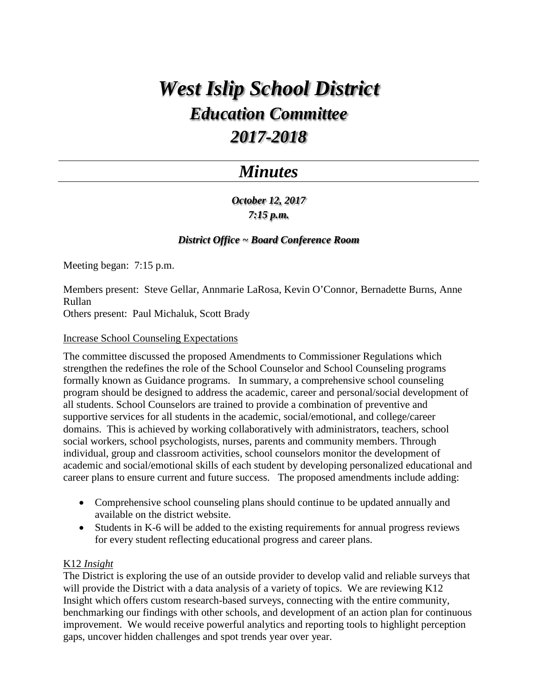# *West Islip School District Education Committee 2017-2018*

# *Minutes*

*October 12, 2017 7:15 p.m.*

# *District Office ~ Board Conference Room*

Meeting began: 7:15 p.m.

Members present: Steve Gellar, Annmarie LaRosa, Kevin O'Connor, Bernadette Burns, Anne Rullan

Others present: Paul Michaluk, Scott Brady

#### Increase School Counseling Expectations

The committee discussed the proposed Amendments to Commissioner Regulations which strengthen the redefines the role of the School Counselor and School Counseling programs formally known as Guidance programs. In summary, a comprehensive school counseling program should be designed to address the academic, career and personal/social development of all students. School Counselors are trained to provide a combination of preventive and supportive services for all students in the academic, social/emotional, and college/career domains. This is achieved by working collaboratively with administrators, teachers, school social workers, school psychologists, nurses, parents and community members. Through individual, group and classroom activities, school counselors monitor the development of academic and social/emotional skills of each student by developing personalized educational and career plans to ensure current and future success. The proposed amendments include adding:

- Comprehensive school counseling plans should continue to be updated annually and available on the district website.
- Students in K-6 will be added to the existing requirements for annual progress reviews for every student reflecting educational progress and career plans.

### K12 *Insight*

The District is exploring the use of an outside provider to develop valid and reliable surveys that will provide the District with a data analysis of a variety of topics. We are reviewing K12 Insight which offers custom research-based surveys, connecting with the entire community, benchmarking our findings with other schools, and development of an action plan for continuous improvement. We would receive powerful analytics and reporting tools to highlight perception gaps, uncover hidden challenges and spot trends year over year.